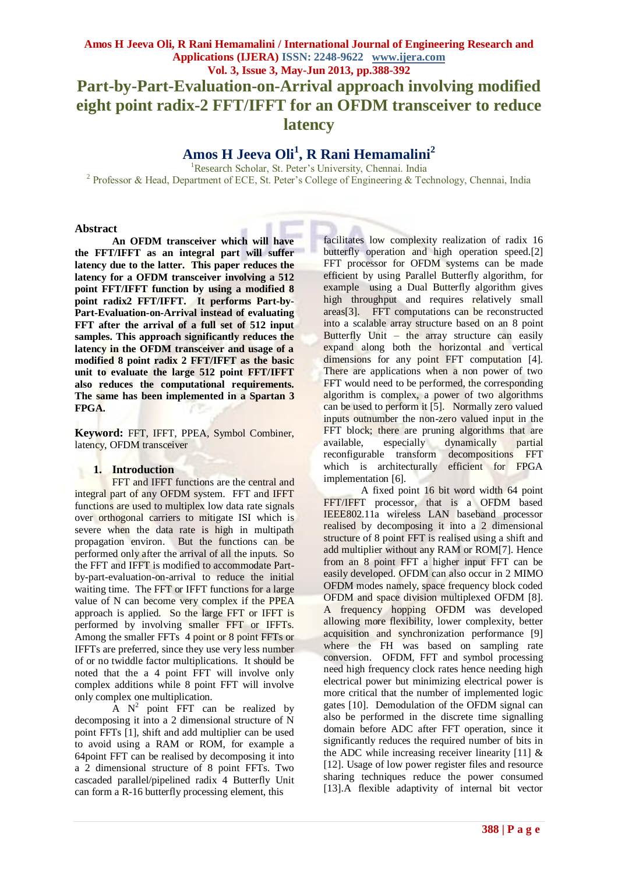# **Amos H Jeeva Oli, R Rani Hemamalini / International Journal of Engineering Research and Applications (IJERA) ISSN: 2248-9622 www.ijera.com Vol. 3, Issue 3, May-Jun 2013, pp.388-392 Part-by-Part-Evaluation-on-Arrival approach involving modified eight point radix-2 FFT/IFFT for an OFDM transceiver to reduce latency**

# **Amos H Jeeva Oli<sup>1</sup> , R Rani Hemamalini<sup>2</sup>**

<sup>1</sup>Research Scholar, St. Peter's University, Chennai. India <sup>2</sup> Professor & Head, Department of ECE, St. Peter's College of Engineering & Technology, Chennai, India

#### **Abstract**

**An OFDM transceiver which will have the FFT/IFFT as an integral part will suffer latency due to the latter. This paper reduces the latency for a OFDM transceiver involving a 512 point FFT/IFFT function by using a modified 8 point radix2 FFT/IFFT. It performs Part-by-Part-Evaluation-on-Arrival instead of evaluating FFT after the arrival of a full set of 512 input samples. This approach significantly reduces the latency in the OFDM transceiver and usage of a modified 8 point radix 2 FFT/IFFT as the basic unit to evaluate the large 512 point FFT/IFFT also reduces the computational requirements. The same has been implemented in a Spartan 3 FPGA.** 

**Keyword:** FFT, IFFT, PPEA, Symbol Combiner, latency, OFDM transceiver

#### **1. Introduction**

FFT and IFFT functions are the central and integral part of any OFDM system. FFT and IFFT functions are used to multiplex low data rate signals over orthogonal carriers to mitigate ISI which is severe when the data rate is high in multipath propagation environ. But the functions can be performed only after the arrival of all the inputs. So the FFT and IFFT is modified to accommodate Partby-part-evaluation-on-arrival to reduce the initial waiting time. The FFT or IFFT functions for a large value of N can become very complex if the PPEA approach is applied. So the large FFT or IFFT is performed by involving smaller FFT or IFFTs. Among the smaller FFTs 4 point or 8 point FFTs or IFFTs are preferred, since they use very less number of or no twiddle factor multiplications. It should be noted that the a 4 point FFT will involve only complex additions while 8 point FFT will involve only complex one multiplication.

 $\overline{A}$  N<sup>2</sup> point FFT can be realized by decomposing it into a 2 dimensional structure of N point FFTs [1], shift and add multiplier can be used to avoid using a RAM or ROM, for example a 64point FFT can be realised by decomposing it into a 2 dimensional structure of 8 point FFTs. Two cascaded parallel/pipelined radix 4 Butterfly Unit can form a R-16 butterfly processing element, this

facilitates low complexity realization of radix 16 butterfly operation and high operation speed.[2] FFT processor for OFDM systems can be made efficient by using Parallel Butterfly algorithm, for example using a Dual Butterfly algorithm gives high throughput and requires relatively small areas[3]. FFT computations can be reconstructed into a scalable array structure based on an 8 point Butterfly Unit – the array structure can easily expand along both the horizontal and vertical dimensions for any point FFT computation [4]. There are applications when a non power of two FFT would need to be performed, the corresponding algorithm is complex, a power of two algorithms can be used to perform it [5]. Normally zero valued inputs outnumber the non-zero valued input in the FFT block; there are pruning algorithms that are available, especially dynamically partial reconfigurable transform decompositions FFT which is architecturally efficient for FPGA implementation [6].

A fixed point 16 bit word width 64 point FFT/IFFT processor, that is a OFDM based IEEE802.11a wireless LAN baseband processor realised by decomposing it into a 2 dimensional structure of 8 point FFT is realised using a shift and add multiplier without any RAM or ROM[7]. Hence from an 8 point FFT a higher input FFT can be easily developed. OFDM can also occur in 2 MIMO OFDM modes namely, space frequency block coded OFDM and space division multiplexed OFDM [8]. A frequency hopping OFDM was developed allowing more flexibility, lower complexity, better acquisition and synchronization performance [9] where the FH was based on sampling rate conversion. OFDM, FFT and symbol processing need high frequency clock rates hence needing high electrical power but minimizing electrical power is more critical that the number of implemented logic gates [10]. Demodulation of the OFDM signal can also be performed in the discrete time signalling domain before ADC after FFT operation, since it significantly reduces the required number of bits in the ADC while increasing receiver linearity [11] & [12]. Usage of low power register files and resource sharing techniques reduce the power consumed [13].A flexible adaptivity of internal bit vector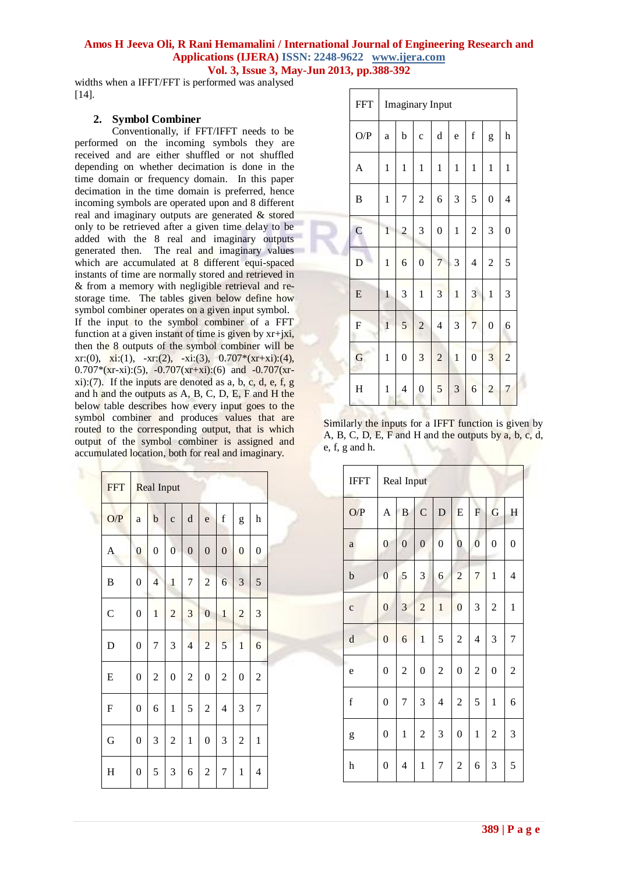widths when a IFFT/FFT is performed was analysed [14].

#### **2. Symbol Combiner**

Conventionally, if FFT/IFFT needs to be performed on the incoming symbols they are received and are either shuffled or not shuffled depending on whether decimation is done in the time domain or frequency domain. In this paper decimation in the time domain is preferred, hence incoming symbols are operated upon and 8 different real and imaginary outputs are generated & stored only to be retrieved after a given time delay to be added with the 8 real and imaginary outputs generated then. The real and imaginary values which are accumulated at 8 different equi-spaced instants of time are normally stored and retrieved in & from a memory with negligible retrieval and restorage time. The tables given below define how symbol combiner operates on a given input symbol. If the input to the symbol combiner of a FFT function at a given instant of time is given by xr+jxi, then the 8 outputs of the symbol combiner will be xr:(0), xi:(1), -xr:(2), -xi:(3),  $0.707*(x + x)$ :(4),  $0.707*(x - x_i):(5)$ ,  $-0.707(x + x_i):(6)$  and  $-0.707(x - x_i)$  $xi$ ):(7). If the inputs are denoted as a, b, c, d, e, f, g and h and the outputs as A, B, C, D, E, F and H the below table describes how every input goes to the symbol combiner and produces values that are routed to the corresponding output, that is which output of the symbol combiner is assigned and accumulated location, both for real and imaginary.

| <b>FFT</b>   | <b>Real Input</b> |                |                  |                  |                  |                  |                |                           |  |
|--------------|-------------------|----------------|------------------|------------------|------------------|------------------|----------------|---------------------------|--|
| O/P          | a                 | $\mathbf b$    | $\mathbf{C}$     | $\rm d$          | e                | $\mathbf f$      | g              | $\boldsymbol{\mathrm{h}}$ |  |
| A            | $\overline{0}$    | $\overline{0}$ | $\overline{0}$   | $\boldsymbol{0}$ | $\boldsymbol{0}$ | $\boldsymbol{0}$ | $\overline{0}$ | $\boldsymbol{0}$          |  |
| B            | $\boldsymbol{0}$  | $\overline{4}$ | $\mathbf{1}$     | 7                | $\overline{c}$   | 6                | 3              | 5                         |  |
| $\mathsf{C}$ | $\boldsymbol{0}$  | $\mathbf{1}$   | $\overline{c}$   | 3                | $\overline{0}$   | $\mathbf{1}$     | $\overline{c}$ | 3                         |  |
| D            | $\boldsymbol{0}$  | 7              | 3                | $\overline{4}$   | $\overline{c}$   | 5                | $\mathbf{1}$   | 6                         |  |
| E            | $\overline{0}$    | $\overline{c}$ | $\boldsymbol{0}$ | $\overline{c}$   | $\boldsymbol{0}$ | $\overline{2}$   | $\overline{0}$ | $\overline{c}$            |  |
| $\mathbf F$  | $\overline{0}$    | 6              | $\mathbf{1}$     | 5                | $\overline{c}$   | $\overline{4}$   | 3              | 7                         |  |
| G            | $\boldsymbol{0}$  | 3              | $\overline{c}$   | $\mathbf{1}$     | $\boldsymbol{0}$ | 3                | $\overline{c}$ | $\mathbf{1}$              |  |
| H            | $\overline{0}$    | 5              | 3                | 6                | $\overline{c}$   | 7                | $\mathbf{1}$   | $\overline{4}$            |  |

| <b>FFT</b>              | <b>Imaginary</b> Input |                  |                  |                          |                |                          |                  |                          |  |
|-------------------------|------------------------|------------------|------------------|--------------------------|----------------|--------------------------|------------------|--------------------------|--|
| O/P                     | a                      | b                | $\mathbf c$      | $\rm d$                  | e              | $\mathbf f$              | g                | h                        |  |
| $\boldsymbol{A}$        | $\mathbf{1}$           | $\mathbf{1}$     | $\mathbf{1}$     | $\mathbf{1}$             | $\mathbf{1}$   | $\mathbf{1}$             | $\mathbf{1}$     | $\mathbf{1}$             |  |
| B                       | $\mathbf{1}$           | 7                | $\overline{c}$   | 6                        | 3              | 5                        | $\boldsymbol{0}$ | $\overline{\mathcal{L}}$ |  |
| $\overline{C}$          | $\mathbf{1}$           | $\overline{c}$   | 3                | $\boldsymbol{0}$         | $\mathbf{1}$   | $\overline{c}$           | 3                | $\boldsymbol{0}$         |  |
| D                       | $\mathbf 1$            | 6                | $\boldsymbol{0}$ | 7                        | 3              | $\overline{\mathcal{L}}$ | $\overline{c}$   | 5                        |  |
| E                       | $\mathbf{1}$           | 3                | $\mathbf{1}$     | 3                        | $\mathbf{1}$   | 3                        | $\mathbf{1}$     | 3                        |  |
| $\overline{\mathrm{F}}$ | $\mathbf{1}$           | 5                | $\overline{c}$   | $\overline{\mathcal{L}}$ | 3              | $\overline{7}$           | $\boldsymbol{0}$ | 6                        |  |
| G                       | $\mathbf{1}$           | $\boldsymbol{0}$ | 3                | $\overline{c}$           | $\mathbf{1}$   | $\overline{0}$           | $\overline{3}$   | $\overline{c}$           |  |
| H                       | $\mathbf{1}$           | $\overline{4}$   | $\boldsymbol{0}$ | 5                        | $\overline{3}$ | 6                        | $\overline{c}$   | 7                        |  |

Similarly the inputs for a IFFT function is given by A, B, C, D, E, F and H and the outputs by a, b, c, d, e, f, g and h.

| <b>IFFT</b>  | Real Input       |                |                  |                          |                  |                           |                  |                  |  |
|--------------|------------------|----------------|------------------|--------------------------|------------------|---------------------------|------------------|------------------|--|
| O/P          | A                | $\bf{B}$       | $\mathbf C$      | D                        | E                | $\boldsymbol{\mathrm{F}}$ | G                | H                |  |
| $\rm{a}$     | $\boldsymbol{0}$ | $\overline{0}$ | $\boldsymbol{0}$ | $\boldsymbol{0}$         | $\boldsymbol{0}$ | $\boldsymbol{0}$          | $\boldsymbol{0}$ | $\boldsymbol{0}$ |  |
| $\mathbf b$  | $\overline{0}$   | 5              | 3                | 6                        | $\overline{c}$   | $\overline{7}$            | $\mathbf{1}$     | 4                |  |
| $\mathbf{C}$ | $\overline{0}$   | 3              | $\overline{c}$   | $\mathbf{1}$             | $\boldsymbol{0}$ | $\mathfrak 3$             | $\boldsymbol{2}$ | $\mathbf 1$      |  |
| $\mathbf d$  | $\overline{0}$   | 6              | $\mathbf{1}$     | 5                        | $\overline{2}$   | 4                         | 3                | $\overline{7}$   |  |
| e            | $\boldsymbol{0}$ | $\overline{c}$ | $\boldsymbol{0}$ | $\overline{c}$           | $\boldsymbol{0}$ | $\overline{c}$            | $\boldsymbol{0}$ | $\overline{c}$   |  |
| $\mathbf f$  | $\boldsymbol{0}$ | 7              | 3                | $\overline{\mathcal{L}}$ | $\overline{c}$   | 5                         | $\mathbf{1}$     | 6                |  |
| g            | $\boldsymbol{0}$ | $\mathbf{1}$   | $\overline{c}$   | 3                        | $\boldsymbol{0}$ | $\mathbf{1}$              | $\overline{c}$   | 3                |  |
| h            | $\boldsymbol{0}$ | 4              | $\mathbf{1}$     | 7                        | $\overline{2}$   | 6                         | 3                | 5                |  |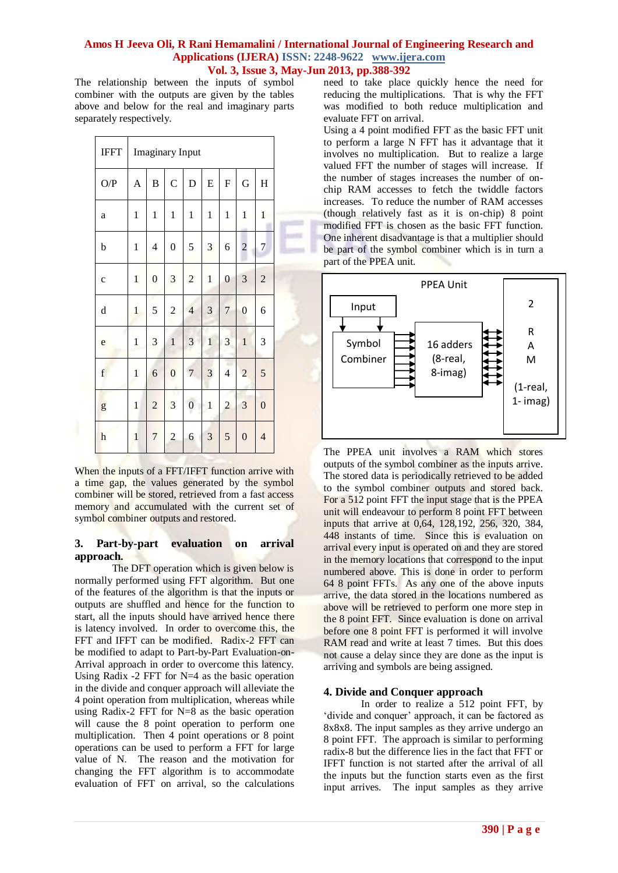The relationship between the inputs of symbol combiner with the outputs are given by the tables above and below for the real and imaginary parts separately respectively.

| <b>IFFT</b>                                                                                                                                                                                                                                                                                                                                                                                                                    | <b>Imaginary Input</b>    |                          |                  |                  |                         |                         |                  |                  |  |
|--------------------------------------------------------------------------------------------------------------------------------------------------------------------------------------------------------------------------------------------------------------------------------------------------------------------------------------------------------------------------------------------------------------------------------|---------------------------|--------------------------|------------------|------------------|-------------------------|-------------------------|------------------|------------------|--|
| O/P                                                                                                                                                                                                                                                                                                                                                                                                                            | $\boldsymbol{\mathsf{A}}$ | $\, {\bf B}$             | $\mathcal{C}$    | D                | ${\bf E}$               | $\mathbf F$             | G                | H                |  |
| a                                                                                                                                                                                                                                                                                                                                                                                                                              | 1                         | $\mathbf{1}$             | $\mathbf{1}$     | $\mathbf{1}$     | $\mathbf{1}$            | $\mathbf{1}$            | $\mathbf{1}$     | $\mathbf{1}$     |  |
| b                                                                                                                                                                                                                                                                                                                                                                                                                              | $\mathbf{1}$              | $\overline{\mathcal{L}}$ | $\boldsymbol{0}$ | 5                | $\overline{\mathbf{3}}$ | 6                       | $\overline{c}$   | $\overline{7}$   |  |
| $\mathbf c$                                                                                                                                                                                                                                                                                                                                                                                                                    | $\mathbf{1}$              | $\boldsymbol{0}$         | 3                | $\overline{c}$   | $\mathbf{1}$            | $\boldsymbol{0}$        | 3                | $\overline{2}$   |  |
| $\rm d$                                                                                                                                                                                                                                                                                                                                                                                                                        | $\mathbf{1}$              | 5                        | $\overline{2}$   | $\overline{4}$   | 3                       | $\overline{7}$          | $\boldsymbol{0}$ | 6                |  |
| e                                                                                                                                                                                                                                                                                                                                                                                                                              | $\mathbf{1}$              | 3                        | $\mathbf{1}$     | 3                | $\mathbf{1}$            | 3                       | $\mathbf{1}$     | 3                |  |
| $\mathbf f$                                                                                                                                                                                                                                                                                                                                                                                                                    | $\mathbf{1}$              | 6                        | $\boldsymbol{0}$ | $\overline{7}$   | 3                       | $\overline{\mathbf{4}}$ | $\overline{c}$   | 5                |  |
| $\mathbf{g}% _{T}=\mathbf{g}_{T}=\mathbf{g}_{T}=\mathbf{g}_{T}=\mathbf{g}_{T}=\mathbf{g}_{T}=\mathbf{g}_{T}=\mathbf{g}_{T}=\mathbf{g}_{T}=\mathbf{g}_{T}=\mathbf{g}_{T}=\mathbf{g}_{T}=\mathbf{g}_{T}=\mathbf{g}_{T}=\mathbf{g}_{T}=\mathbf{g}_{T}=\mathbf{g}_{T}=\mathbf{g}_{T}=\mathbf{g}_{T}=\mathbf{g}_{T}=\mathbf{g}_{T}=\mathbf{g}_{T}=\mathbf{g}_{T}=\mathbf{g}_{T}=\mathbf{g}_{T}=\mathbf{g}_{T}=\mathbf{g}_{T}=\math$ | $\mathbf{1}$              | $\overline{c}$           | 3                | $\boldsymbol{0}$ | $\,1$                   | $\overline{c}$          | 3                | $\boldsymbol{0}$ |  |
| $\mathbf h$                                                                                                                                                                                                                                                                                                                                                                                                                    | $\mathbf{1}$              | $\overline{7}$           | $\overline{c}$   | 6                | $\overline{3}$          | 5                       | $\boldsymbol{0}$ | $\overline{4}$   |  |

When the inputs of a FFT/IFFT function arrive with a time gap, the values generated by the symbol combiner will be stored, retrieved from a fast access memory and accumulated with the current set of symbol combiner outputs and restored.

#### **3. Part-by-part evaluation on arrival approach.**

The DFT operation which is given below is normally performed using FFT algorithm. But one of the features of the algorithm is that the inputs or outputs are shuffled and hence for the function to start, all the inputs should have arrived hence there is latency involved. In order to overcome this, the FFT and IFFT can be modified. Radix-2 FFT can be modified to adapt to Part-by-Part Evaluation-on-Arrival approach in order to overcome this latency. Using Radix -2 FFT for N=4 as the basic operation in the divide and conquer approach will alleviate the 4 point operation from multiplication, whereas while using Radix-2 FFT for N=8 as the basic operation will cause the 8 point operation to perform one multiplication. Then 4 point operations or 8 point operations can be used to perform a FFT for large value of N. The reason and the motivation for changing the FFT algorithm is to accommodate evaluation of FFT on arrival, so the calculations

need to take place quickly hence the need for reducing the multiplications. That is why the FFT was modified to both reduce multiplication and evaluate FFT on arrival.

Using a 4 point modified FFT as the basic FFT unit to perform a large N FFT has it advantage that it involves no multiplication. But to realize a large valued FFT the number of stages will increase. If the number of stages increases the number of onchip RAM accesses to fetch the twiddle factors increases. To reduce the number of RAM accesses (though relatively fast as it is on-chip) 8 point modified FFT is chosen as the basic FFT function. One inherent disadvantage is that a multiplier should be part of the symbol combiner which is in turn a part of the PPEA unit.



The PPEA unit involves a RAM which stores outputs of the symbol combiner as the inputs arrive. The stored data is periodically retrieved to be added to the symbol combiner outputs and stored back. For a 512 point FFT the input stage that is the PPEA unit will endeavour to perform 8 point FFT between inputs that arrive at 0,64, 128,192, 256, 320, 384, 448 instants of time. Since this is evaluation on arrival every input is operated on and they are stored in the memory locations that correspond to the input numbered above. This is done in order to perform 64 8 point FFTs. As any one of the above inputs arrive, the data stored in the locations numbered as above will be retrieved to perform one more step in the 8 point FFT. Since evaluation is done on arrival before one 8 point FFT is performed it will involve RAM read and write at least 7 times. But this does not cause a delay since they are done as the input is arriving and symbols are being assigned.

# **4. Divide and Conquer approach**

In order to realize a 512 point FFT, by 'divide and conquer' approach, it can be factored as 8x8x8. The input samples as they arrive undergo an 8 point FFT. The approach is similar to performing radix-8 but the difference lies in the fact that FFT or IFFT function is not started after the arrival of all the inputs but the function starts even as the first input arrives. The input samples as they arrive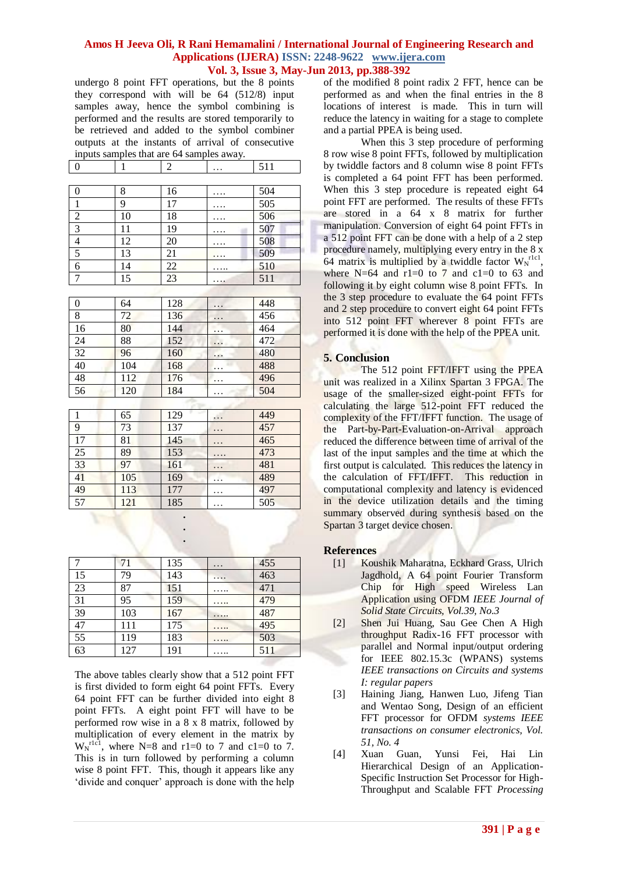undergo 8 point FFT operations, but the 8 points they correspond with will be 64 (512/8) input samples away, hence the symbol combining is performed and the results are stored temporarily to be retrieved and added to the symbol combiner outputs at the instants of arrival of consecutive inputs samples that are 64 samples away.

| $\bf{0}$         | $\mathbf{1}$ | $\sqrt{2}$ | . | 511 |
|------------------|--------------|------------|---|-----|
|                  |              |            |   |     |
| $\boldsymbol{0}$ | 8            | 16         | . | 504 |
| $\mathbf{1}$     | 9            | 17         | . | 505 |
| $\overline{2}$   | 10           | 18         | . | 506 |
| $\overline{3}$   | 11           | 19         | . | 507 |
| $\overline{4}$   | 12           | 20         | . | 508 |
| $\sqrt{5}$       | 13           | 21         | . | 509 |
| 6                | 14           | 22         |   | 510 |
| $\boldsymbol{7}$ | 15           | 23         | . | 511 |
|                  |              |            |   |     |
| $\boldsymbol{0}$ | 64           | 128        | . | 448 |
| 8                | 72           | 136        | . | 456 |
| 16               | 80           | 144        | . | 464 |
| 24               | 88           | 152        | . | 472 |
| 32               | 96           | 160        | . | 480 |
| 40               | 104          | 168        | . | 488 |
| 48               | 112          | 176        | . | 496 |
| 56               | 120          | 184        | . | 504 |
|                  |              |            |   |     |
| $\mathbf{1}$     | 65           | 129        | . | 449 |
| $\Omega$         | 72           | 127        |   | 157 |

| 9  | 73  | 137 | $\cdots$  | 457 |
|----|-----|-----|-----------|-----|
| 17 | 81  | 145 | $\ddotsc$ | 465 |
| 25 | 89  | 153 | $\cdots$  | 473 |
| 33 | 97  | 161 | $\ddotsc$ | 481 |
| 41 | 105 | 169 | .         | 489 |
| 49 | 113 | 177 |           | 497 |
| 57 | 121 | 185 | $\ddotsc$ | 505 |

**. . .**

| $\overline{7}$  | 71  | 135 | $\ddots$ | 455 |
|-----------------|-----|-----|----------|-----|
| 15              | 79  | 143 | .        | 463 |
| 23              | 87  | 151 | .        | 471 |
| 31              | 95  | 159 |          | 479 |
| 39              | 103 | 167 | .        | 487 |
| 47              | 111 | 175 | .        | 495 |
| 55              | 119 | 183 | .        | 503 |
| $\overline{63}$ | 127 | 191 |          | 511 |

The above tables clearly show that a 512 point FFT is first divided to form eight 64 point FFTs. Every 64 point FFT can be further divided into eight 8 point FFTs. A eight point FFT will have to be performed row wise in a 8 x 8 matrix, followed by multiplication of every element in the matrix by  $W_N^{\text{rlc1}}$ , where N=8 and r1=0 to 7 and c1=0 to 7. This is in turn followed by performing a column wise 8 point FFT. This, though it appears like any "divide and conquer" approach is done with the help

of the modified 8 point radix 2 FFT, hence can be performed as and when the final entries in the 8 locations of interest is made. This in turn will reduce the latency in waiting for a stage to complete and a partial PPEA is being used.

When this 3 step procedure of performing 8 row wise 8 point FFTs, followed by multiplication by twiddle factors and 8 column wise 8 point FFTs is completed a 64 point FFT has been performed. When this 3 step procedure is repeated eight 64 point FFT are performed. The results of these FFTs are stored in a 64 x 8 matrix for further manipulation. Conversion of eight 64 point FFTs in a 512 point FFT can be done with a help of a 2 step procedure namely, multiplying every entry in the 8 x 64 matrix is multiplied by a twiddle factor  $W_N^{\text{rlc1}}$ , where N=64 and r1=0 to 7 and c1=0 to 63 and following it by eight column wise 8 point FFTs. In the 3 step procedure to evaluate the 64 point FFTs and 2 step procedure to convert eight 64 point FFTs into 512 point FFT wherever 8 point FFTs are performed it is done with the help of the PPEA unit.

# **5. Conclusion**

The 512 point FFT/IFFT using the PPEA unit was realized in a Xilinx Spartan 3 FPGA. The usage of the smaller-sized eight-point FFTs for calculating the large 512-point FFT reduced the complexity of the FFT/IFFT function. The usage of the Part-by-Part-Evaluation-on-Arrival approach reduced the difference between time of arrival of the last of the input samples and the time at which the first output is calculated. This reduces the latency in the calculation of FFT/IFFT. This reduction in computational complexity and latency is evidenced in the device utilization details and the timing summary observed during synthesis based on the Spartan 3 target device chosen.

# **References**

- [1] Koushik Maharatna, Eckhard Grass, Ulrich Jagdhold, A 64 point Fourier Transform Chip for High speed Wireless Lan Application using OFDM *IEEE Journal of Solid State Circuits, Vol.39, No.3*
- [2] Shen Jui Huang, Sau Gee Chen A High throughput Radix-16 FFT processor with parallel and Normal input/output ordering for IEEE 802.15.3c (WPANS) systems *IEEE transactions on Circuits and systems I: regular papers*
- [3] Haining Jiang, Hanwen Luo, Jifeng Tian and Wentao Song, Design of an efficient FFT processor for OFDM *systems IEEE transactions on consumer electronics, Vol. 51, No. 4*
- [4] Xuan Guan, Yunsi Fei, Hai Lin Hierarchical Design of an Application-Specific Instruction Set Processor for High-Throughput and Scalable FFT *Processing*